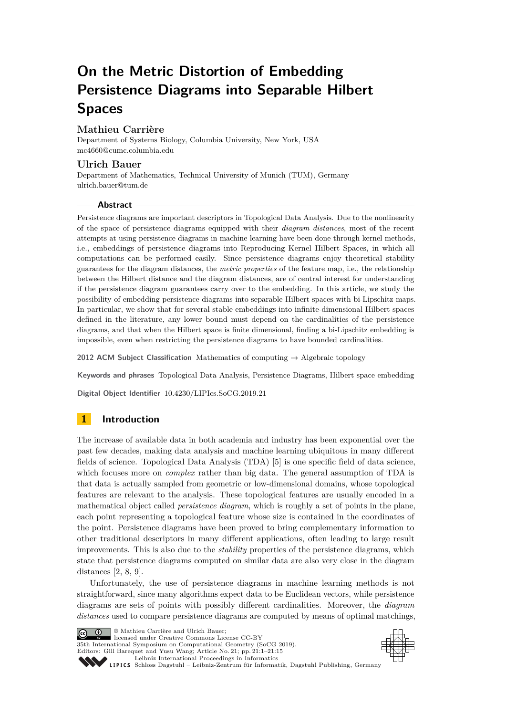# **On the Metric Distortion of Embedding Persistence Diagrams into Separable Hilbert Spaces**

# **Mathieu Carrière**

Department of Systems Biology, Columbia University, New York, USA [mc4660@cumc.columbia.edu](mailto:mc4660@cumc.columbia.edu)

## **Ulrich Bauer**

Department of Mathematics, Technical University of Munich (TUM), Germany [ulrich.bauer@tum.de](mailto:ulrich.bauer@tum.de)

#### **Abstract**

Persistence diagrams are important descriptors in Topological Data Analysis. Due to the nonlinearity of the space of persistence diagrams equipped with their *diagram distances*, most of the recent attempts at using persistence diagrams in machine learning have been done through kernel methods, i.e., embeddings of persistence diagrams into Reproducing Kernel Hilbert Spaces, in which all computations can be performed easily. Since persistence diagrams enjoy theoretical stability guarantees for the diagram distances, the *metric properties* of the feature map, i.e., the relationship between the Hilbert distance and the diagram distances, are of central interest for understanding if the persistence diagram guarantees carry over to the embedding. In this article, we study the possibility of embedding persistence diagrams into separable Hilbert spaces with bi-Lipschitz maps. In particular, we show that for several stable embeddings into infinite-dimensional Hilbert spaces defined in the literature, any lower bound must depend on the cardinalities of the persistence diagrams, and that when the Hilbert space is finite dimensional, finding a bi-Lipschitz embedding is impossible, even when restricting the persistence diagrams to have bounded cardinalities.

**2012 ACM Subject Classification** Mathematics of computing → Algebraic topology

**Keywords and phrases** Topological Data Analysis, Persistence Diagrams, Hilbert space embedding

**Digital Object Identifier** [10.4230/LIPIcs.SoCG.2019.21](https://doi.org/10.4230/LIPIcs.SoCG.2019.21)

# **1 Introduction**

The increase of available data in both academia and industry has been exponential over the past few decades, making data analysis and machine learning ubiquitous in many different fields of science. Topological Data Analysis (TDA) [\[5\]](#page-13-0) is one specific field of data science, which focuses more on *complex* rather than big data. The general assumption of TDA is that data is actually sampled from geometric or low-dimensional domains, whose topological features are relevant to the analysis. These topological features are usually encoded in a mathematical object called *persistence diagram*, which is roughly a set of points in the plane, each point representing a topological feature whose size is contained in the coordinates of the point. Persistence diagrams have been proved to bring complementary information to other traditional descriptors in many different applications, often leading to large result improvements. This is also due to the *stability* properties of the persistence diagrams, which state that persistence diagrams computed on similar data are also very close in the diagram distances [\[2,](#page-13-1) [8,](#page-13-2) [9\]](#page-13-3).

Unfortunately, the use of persistence diagrams in machine learning methods is not straightforward, since many algorithms expect data to be Euclidean vectors, while persistence diagrams are sets of points with possibly different cardinalities. Moreover, the *diagram distances* used to compare persistence diagrams are computed by means of optimal matchings,



© Mathieu Carrière and Ulrich Bauer; licensed under Creative Commons License CC-BY 35th International Symposium on Computational Geometry (SoCG 2019). Editors: Gill Barequet and Yusu Wang; Article No. 21; pp. 21:1–21[:15](#page-14-0) [Leibniz International Proceedings in Informatics](https://www.dagstuhl.de/lipics/)



[Schloss Dagstuhl – Leibniz-Zentrum für Informatik, Dagstuhl Publishing, Germany](https://www.dagstuhl.de)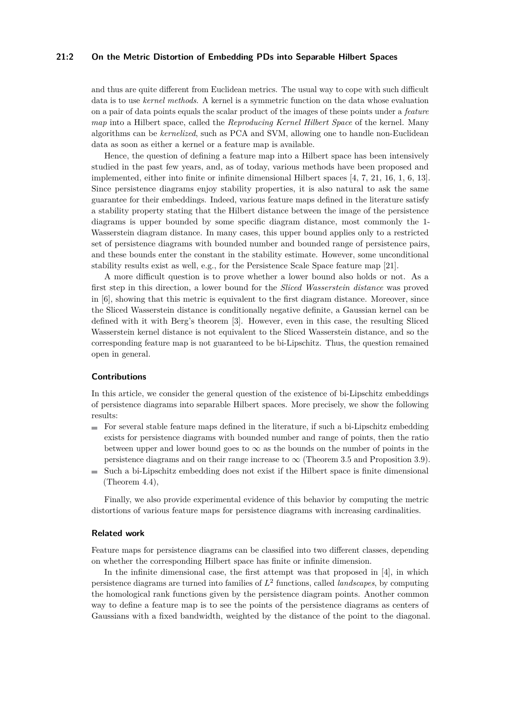#### **21:2 On the Metric Distortion of Embedding PDs into Separable Hilbert Spaces**

and thus are quite different from Euclidean metrics. The usual way to cope with such difficult data is to use *kernel methods*. A kernel is a symmetric function on the data whose evaluation on a pair of data points equals the scalar product of the images of these points under a *feature map* into a Hilbert space, called the *Reproducing Kernel Hilbert Space* of the kernel. Many algorithms can be *kernelized*, such as PCA and SVM, allowing one to handle non-Euclidean data as soon as either a kernel or a feature map is available.

Hence, the question of defining a feature map into a Hilbert space has been intensively studied in the past few years, and, as of today, various methods have been proposed and implemented, either into finite or infinite dimensional Hilbert spaces [\[4,](#page-13-4) [7,](#page-13-5) [21,](#page-14-1) [16,](#page-13-6) [1,](#page-13-7) [6,](#page-13-8) [13\]](#page-13-9). Since persistence diagrams enjoy stability properties, it is also natural to ask the same guarantee for their embeddings. Indeed, various feature maps defined in the literature satisfy a stability property stating that the Hilbert distance between the image of the persistence diagrams is upper bounded by some specific diagram distance, most commonly the 1- Wasserstein diagram distance. In many cases, this upper bound applies only to a restricted set of persistence diagrams with bounded number and bounded range of persistence pairs, and these bounds enter the constant in the stability estimate. However, some unconditional stability results exist as well, e.g., for the Persistence Scale Space feature map [\[21\]](#page-14-1).

A more difficult question is to prove whether a lower bound also holds or not. As a first step in this direction, a lower bound for the *Sliced Wasserstein distance* was proved in [\[6\]](#page-13-8), showing that this metric is equivalent to the first diagram distance. Moreover, since the Sliced Wasserstein distance is conditionally negative definite, a Gaussian kernel can be defined with it with Berg's theorem [\[3\]](#page-13-10). However, even in this case, the resulting Sliced Wasserstein kernel distance is not equivalent to the Sliced Wasserstein distance, and so the corresponding feature map is not guaranteed to be bi-Lipschitz. Thus, the question remained open in general.

#### **Contributions**

In this article, we consider the general question of the existence of bi-Lipschitz embeddings of persistence diagrams into separable Hilbert spaces. More precisely, we show the following results:

- $\blacksquare$  For several stable feature maps defined in the literature, if such a bi-Lipschitz embedding exists for persistence diagrams with bounded number and range of points, then the ratio between upper and lower bound goes to  $\infty$  as the bounds on the number of points in the persistence diagrams and on their range increase to  $\infty$  (Theorem [3.5](#page-6-0) and Proposition [3.9\)](#page-7-0).
- $\blacksquare$  Such a bi-Lipschitz embedding does not exist if the Hilbert space is finite dimensional (Theorem [4.4\)](#page-10-0),

Finally, we also provide experimental evidence of this behavior by computing the metric distortions of various feature maps for persistence diagrams with increasing cardinalities.

## **Related work**

Feature maps for persistence diagrams can be classified into two different classes, depending on whether the corresponding Hilbert space has finite or infinite dimension.

In the infinite dimensional case, the first attempt was that proposed in [\[4\]](#page-13-4), in which persistence diagrams are turned into families of *L* 2 functions, called *landscapes*, by computing the homological rank functions given by the persistence diagram points. Another common way to define a feature map is to see the points of the persistence diagrams as centers of Gaussians with a fixed bandwidth, weighted by the distance of the point to the diagonal.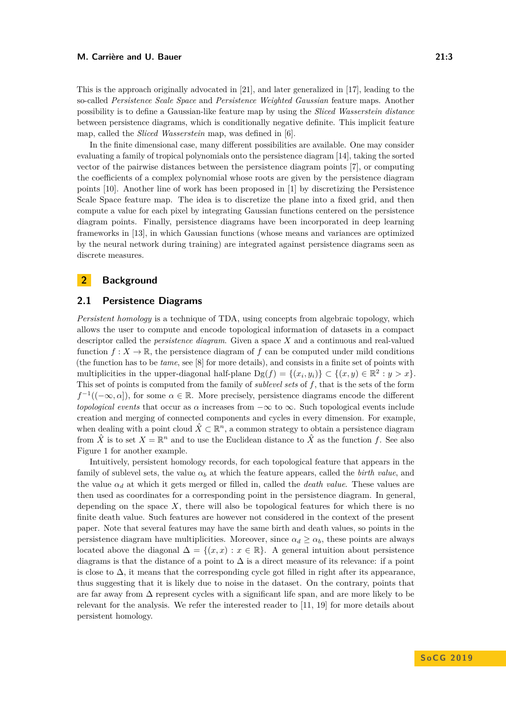This is the approach originally advocated in [\[21\]](#page-14-1), and later generalized in [\[17\]](#page-13-11), leading to the so-called *Persistence Scale Space* and *Persistence Weighted Gaussian* feature maps. Another possibility is to define a Gaussian-like feature map by using the *Sliced Wasserstein distance* between persistence diagrams, which is conditionally negative definite. This implicit feature map, called the *Sliced Wasserstein* map, was defined in [\[6\]](#page-13-8).

In the finite dimensional case, many different possibilities are available. One may consider evaluating a family of tropical polynomials onto the persistence diagram [\[14\]](#page-13-12), taking the sorted vector of the pairwise distances between the persistence diagram points [\[7\]](#page-13-5), or computing the coefficients of a complex polynomial whose roots are given by the persistence diagram points [\[10\]](#page-13-13). Another line of work has been proposed in [\[1\]](#page-13-7) by discretizing the Persistence Scale Space feature map. The idea is to discretize the plane into a fixed grid, and then compute a value for each pixel by integrating Gaussian functions centered on the persistence diagram points. Finally, persistence diagrams have been incorporated in deep learning frameworks in [\[13\]](#page-13-9), in which Gaussian functions (whose means and variances are optimized by the neural network during training) are integrated against persistence diagrams seen as discrete measures.

## **2 Background**

## **2.1 Persistence Diagrams**

*Persistent homology* is a technique of TDA, using concepts from algebraic topology, which allows the user to compute and encode topological information of datasets in a compact descriptor called the *persistence diagram*. Given a space *X* and a continuous and real-valued function  $f: X \to \mathbb{R}$ , the persistence diagram of f can be computed under mild conditions (the function has to be *tame*, see [\[8\]](#page-13-2) for more details), and consists in a finite set of points with multiplicities in the upper-diagonal half-plane  $Dg(f) = \{(x_i, y_i)\} \subset \{(x, y) \in \mathbb{R}^2 : y > x\}.$ This set of points is computed from the family of *sublevel sets* of *f*, that is the sets of the form  $f^{-1}((-\infty, \alpha])$ , for some  $\alpha \in \mathbb{R}$ . More precisely, persistence diagrams encode the different *topological events* that occur as  $\alpha$  increases from  $-\infty$  to  $\infty$ . Such topological events include creation and merging of connected components and cycles in every dimension. For example, when dealing with a point cloud  $\hat{X} \subset \mathbb{R}^n$ , a common strategy to obtain a persistence diagram from  $\hat{X}$  is to set  $X = \mathbb{R}^n$  and to use the Euclidean distance to  $\hat{X}$  as the function f. See also Figure [1](#page-3-0) for another example.

Intuitively, persistent homology records, for each topological feature that appears in the family of sublevel sets, the value  $\alpha_b$  at which the feature appears, called the *birth value*, and the value  $\alpha_d$  at which it gets merged or filled in, called the *death value*. These values are then used as coordinates for a corresponding point in the persistence diagram. In general, depending on the space  $X$ , there will also be topological features for which there is no finite death value. Such features are however not considered in the context of the present paper. Note that several features may have the same birth and death values, so points in the persistence diagram have multiplicities. Moreover, since  $\alpha_d \geq \alpha_b$ , these points are always located above the diagonal  $\Delta = \{(x, x) : x \in \mathbb{R}\}\.$  A general intuition about persistence diagrams is that the distance of a point to  $\Delta$  is a direct measure of its relevance: if a point is close to  $\Delta$ , it means that the corresponding cycle got filled in right after its appearance, thus suggesting that it is likely due to noise in the dataset. On the contrary, points that are far away from  $\Delta$  represent cycles with a significant life span, and are more likely to be relevant for the analysis. We refer the interested reader to [\[11,](#page-13-14) [19\]](#page-13-15) for more details about persistent homology.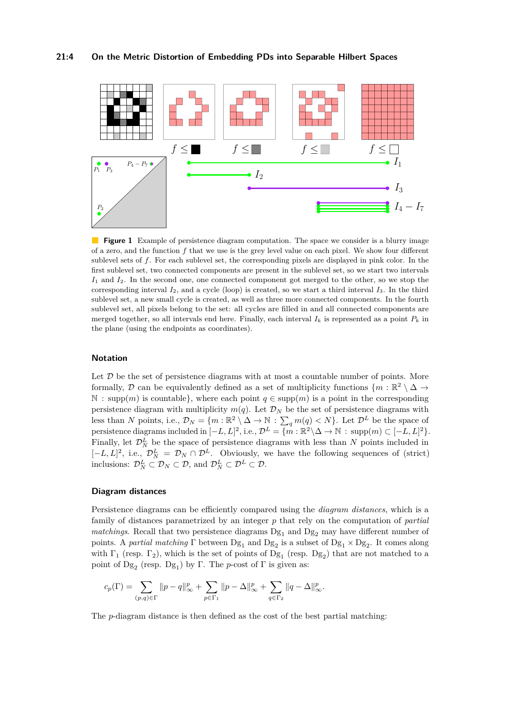<span id="page-3-0"></span>

**Figure 1** Example of persistence diagram computation. The space we consider is a blurry image of a zero, and the function *f* that we use is the grey level value on each pixel. We show four different sublevel sets of *f*. For each sublevel set, the corresponding pixels are displayed in pink color. In the first sublevel set, two connected components are present in the sublevel set, so we start two intervals *I*<sup>1</sup> and *I*2. In the second one, one connected component got merged to the other, so we stop the corresponding interval *I*2, and a cycle (loop) is created, so we start a third interval *I*3. In the third sublevel set, a new small cycle is created, as well as three more connected components. In the fourth sublevel set, all pixels belong to the set: all cycles are filled in and all connected components are merged together, so all intervals end here. Finally, each interval  $I_k$  is represented as a point  $P_k$  in the plane (using the endpoints as coordinates).

### **Notation**

Let  $D$  be the set of persistence diagrams with at most a countable number of points. More formally, D can be equivalently defined as a set of multiplicity functions  $\{m : \mathbb{R}^2 \setminus \Delta \to \mathbb{R}^2 \}$  $\mathbb{N}$ : supp $(m)$  is countable, where each point  $q \in \text{supp}(m)$  is a point in the corresponding persistence diagram with multiplicity  $m(q)$ . Let  $\mathcal{D}_N$  be the set of persistence diagrams with less than *N* points, i.e.,  $\mathcal{D}_N = \{m : \mathbb{R}^2 \setminus \Delta \to \mathbb{N} : \sum_q m(q) < N\}$ . Let  $\mathcal{D}^L$  be the space of persistence diagrams included in  $[-L, L]^2$ , i.e.,  $\mathcal{D}^L = \{m : \mathbb{R}^2 \setminus \Delta \to \mathbb{N} : \operatorname{supp}(m) \subset [-L, L]^2\}.$ Finally, let  $\mathcal{D}_{N}^{L}$  be the space of persistence diagrams with less than *N* points included in  $[-L, L]^2$ , i.e.,  $\mathcal{D}_N^L = \mathcal{D}_N \cap \mathcal{D}^L$ . Obviously, we have the following sequences of (strict) inclusions:  $\mathcal{D}_N^L \subset \mathcal{D}_N \subset \mathcal{D}$ , and  $\mathcal{D}_N^L \subset \mathcal{D}^L \subset \mathcal{D}$ .

#### **Diagram distances**

Persistence diagrams can be efficiently compared using the *diagram distances*, which is a family of distances parametrized by an integer *p* that rely on the computation of *partial matchings*. Recall that two persistence diagrams  $Dg_1$  and  $Dg_2$  may have different number of points. A *partial matching*  $\Gamma$  between  $Dg_1$  and  $Dg_2$  is a subset of  $Dg_1 \times Dg_2$ . It comes along with  $\Gamma_1$  (resp.  $\Gamma_2$ ), which is the set of points of  $Dg_1$  (resp.  $Dg_2$ ) that are not matched to a point of  $Dg_2$  (resp.  $Dg_1$ ) by Γ. The *p*-cost of Γ is given as:

$$
c_p(\Gamma)=\sum_{(p,q)\in \Gamma} \|p-q\|_\infty^p+\sum_{p\in \Gamma_1} \|p-\Delta\|_\infty^p+\sum_{q\in \Gamma_2} \|q-\Delta\|_\infty^p.
$$

The *p*-diagram distance is then defined as the cost of the best partial matching: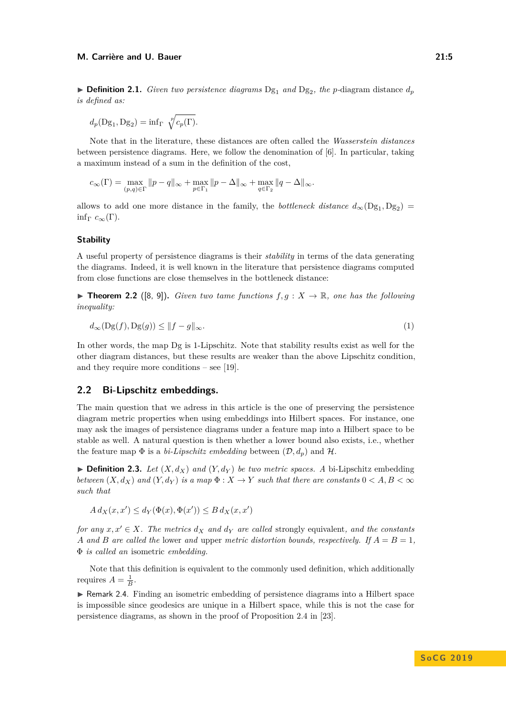$\blacktriangleright$  **Definition 2.1.** *Given two persistence diagrams*  $Dg_1$  *and*  $Dg_2$ *, the p*-diagram distance  $d_p$ *is defined as:*

 $d_p(\text{Dg}_1, \text{Dg}_2) = \inf_{\Gamma} \sqrt[p]{c_p(\Gamma)}.$ 

Note that in the literature, these distances are often called the *Wasserstein distances* between persistence diagrams. Here, we follow the denomination of [\[6\]](#page-13-8). In particular, taking a maximum instead of a sum in the definition of the cost,

$$
c_\infty(\Gamma)=\max_{(p,q)\in\Gamma}\|p-q\|_\infty+\max_{p\in\Gamma_1}\|p-\Delta\|_\infty+\max_{q\in\Gamma_2}\|q-\Delta\|_\infty.
$$

allows to add one more distance in the family, the *bottleneck distance*  $d_{\infty}(\text{Dg}_1, \text{Dg}_2)$  = inf<sub>Γ</sub>  $c_{\infty}(\Gamma)$ .

#### **Stability**

A useful property of persistence diagrams is their *stability* in terms of the data generating the diagrams. Indeed, it is well known in the literature that persistence diagrams computed from close functions are close themselves in the bottleneck distance:

▶ **Theorem 2.2** ([\[8,](#page-13-2) [9\]](#page-13-3)). *Given two tame functions*  $f, q: X \rightarrow \mathbb{R}$ , one has the following *inequality:*

$$
d_{\infty}(\mathcal{D}\mathcal{g}(f), \mathcal{D}\mathcal{g}(g)) \le \|f - g\|_{\infty}.\tag{1}
$$

In other words, the map Dg is 1-Lipschitz. Note that stability results exist as well for the other diagram distances, but these results are weaker than the above Lipschitz condition, and they require more conditions – see [\[19\]](#page-13-15).

## **2.2 Bi-Lipschitz embeddings.**

The main question that we adress in this article is the one of preserving the persistence diagram metric properties when using embeddings into Hilbert spaces. For instance, one may ask the images of persistence diagrams under a feature map into a Hilbert space to be stable as well. A natural question is then whether a lower bound also exists, i.e., whether the feature map  $\Phi$  is a *bi-Lipschitz embedding* between  $(\mathcal{D}, d_n)$  and  $\mathcal{H}$ .

 $\triangleright$  **Definition 2.3.** *Let*  $(X, d_X)$  *and*  $(Y, d_Y)$  *be two metric spaces. A* bi-Lipschitz embedding *between*  $(X, d_X)$  *and*  $(Y, d_Y)$  *is a map*  $\Phi: X \to Y$  *such that there are constants*  $0 < A, B < \infty$ *such that*

$$
A d_X(x, x') \le d_Y(\Phi(x), \Phi(x')) \le B d_X(x, x')
$$

*for any*  $x, x' \in X$ *. The metrics*  $d_X$  *and*  $d_Y$  *are called* strongly equivalent, and the constants *A* and *B* are called the lower and upper *metric distortion bounds, respectively.* If  $A = B = 1$ *,* Φ *is called an* isometric *embedding.*

Note that this definition is equivalent to the commonly used definition, which additionally requires  $A = \frac{1}{B}$ .

 $\triangleright$  Remark 2.4. Finding an isometric embedding of persistence diagrams into a Hilbert space is impossible since geodesics are unique in a Hilbert space, while this is not the case for persistence diagrams, as shown in the proof of Proposition 2.4 in [\[23\]](#page-14-2).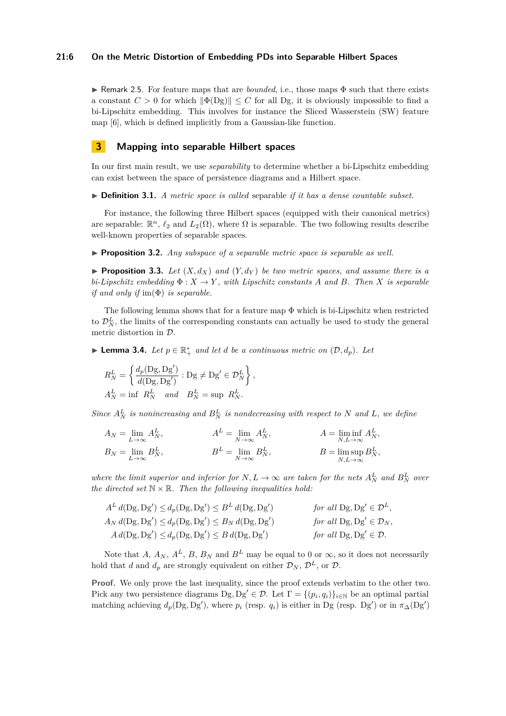#### **21:6 On the Metric Distortion of Embedding PDs into Separable Hilbert Spaces**

I Remark 2.5. For feature maps that are *bounded*, i.e., those maps Φ such that there exists a constant  $C > 0$  for which  $\|\Phi(Dg)\| \leq C$  for all Dg, it is obviously impossible to find a bi-Lipschitz embedding. This involves for instance the Sliced Wasserstein (SW) feature map [\[6\]](#page-13-8), which is defined implicitly from a Gaussian-like function.

## **3 Mapping into separable Hilbert spaces**

In our first main result, we use *separability* to determine whether a bi-Lipschitz embedding can exist between the space of persistence diagrams and a Hilbert space.

I **Definition 3.1.** *A metric space is called* separable *if it has a dense countable subset.*

For instance, the following three Hilbert spaces (equipped with their canonical metrics) are separable:  $\mathbb{R}^n$ ,  $\ell_2$  and  $L_2(\Omega)$ , where  $\Omega$  is separable. The two following results describe well-known properties of separable spaces.

 $\triangleright$  **Proposition 3.2.** *Any subspace of a separable metric space is separable as well.* 

**Proposition 3.3.** Let  $(X, d_X)$  and  $(Y, d_Y)$  be two metric spaces, and assume there is a  $b$ *i-Lipschitz embedding*  $\Phi: X \to Y$ , with Lipschitz constants A and B. Then X is separable *if and only if* im(Φ) *is separable.*

The following lemma shows that for a feature map  $\Phi$  which is bi-Lipschitz when restricted to  $\mathcal{D}_{N}^{L}$ , the limits of the corresponding constants can actually be used to study the general metric distortion in D.

► **Lemma 3.4.** *Let*  $p \in \mathbb{R}_+^*$  *and let d be a continuous metric on*  $(\mathcal{D}, d_p)$ *. Let* 

$$
R_N^L = \left\{ \frac{d_p(\text{Dg}, \text{Dg}')}{d(\text{Dg}, \text{Dg}')} : \text{Dg} \neq \text{Dg}' \in \mathcal{D}_N^L \right\},
$$
  

$$
A_N^L = \inf \ R_N^L \quad and \quad B_N^L = \sup \ R_N^L.
$$

*Since*  $A_N^L$  *is nonincreasing and*  $B_N^L$  *is nondecreasing with respect to*  $N$  *and*  $L$ *, we define* 

$$
A_N = \lim_{L \to \infty} A_N^L, \qquad A^L = \lim_{N \to \infty} A_N^L, \qquad A = \lim_{N, L \to \infty} A_N^L, \n B_N = \lim_{L \to \infty} B_N^L, \qquad B^L = \lim_{N \to \infty} B_N^L, \qquad B = \limsup_{N, L \to \infty} B_N^L,
$$

*where the limit superior and inferior for*  $N, L \to \infty$  *are taken for the nets*  $A_N^L$  *and*  $B_N^L$  *over the directed set*  $\mathbb{N} \times \mathbb{R}$ *. Then the following inequalities hold:* 

| $AL d(Dg, Dg') \leq d_p(Dg, Dg') \leq BL d(Dg, Dg')$                                           | for all $\text{Dg}, \text{Dg}' \in \mathcal{D}^L$ , |
|------------------------------------------------------------------------------------------------|-----------------------------------------------------|
| $A_N d(\text{Dg}, \text{Dg}') \le d_p(\text{Dg}, \text{Dg}') \le B_N d(\text{Dg}, \text{Dg}')$ | for all $Dg, Dg' \in \mathcal{D}_N$ ,               |
| $A d(Dg, Dg') \leq d_p(Dg, Dg') \leq B d(Dg, Dg')$                                             | for all $Dg, Dg' \in \mathcal{D}$ .                 |

Note that *A*,  $A_N$ ,  $A^L$ , *B*,  $B_N$  and  $B^L$  may be equal to 0 or  $\infty$ , so it does not necessarily hold that *d* and  $d_p$  are strongly equivalent on either  $\mathcal{D}_N$ ,  $\mathcal{D}^L$ , or  $\mathcal{D}$ .

**Proof.** We only prove the last inequality, since the proof extends verbatim to the other two. Pick any two persistence diagrams  $Dg, Dg' \in \mathcal{D}$ . Let  $\Gamma = \{(p_i, q_i)\}_{i \in \mathbb{N}}$  be an optimal partial matching achieving  $d_p(Dg, Dg')$ , where  $p_i$  (resp.  $q_i$ ) is either in Dg (resp. Dg') or in  $\pi_\Delta(Dg')$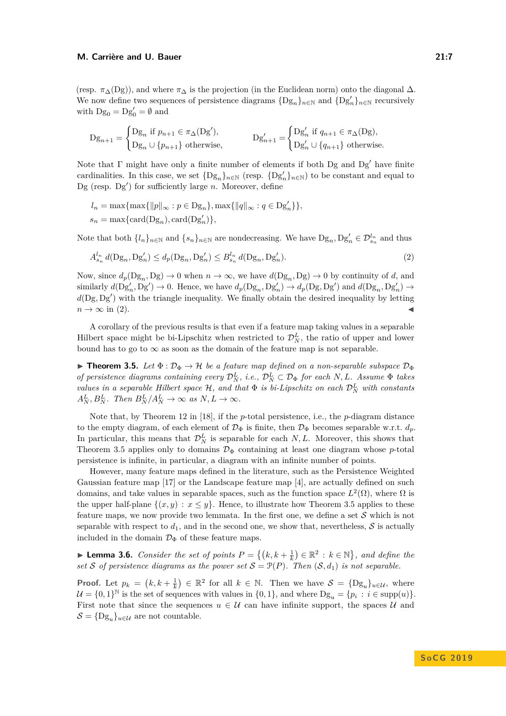(resp.  $\pi_{\Delta}(Dg)$ ), and where  $\pi_{\Delta}$  is the projection (in the Euclidean norm) onto the diagonal  $\Delta$ . We now define two sequences of persistence diagrams  ${Dg_n}_{n \in \mathbb{N}}$  and  ${Dg'_n}_{n \in \mathbb{N}}$  recursively with  $Dg_0 = Dg'_0 = \emptyset$  and

$$
\mathbf{D}\mathbf{g}_{n+1} = \begin{cases} \mathbf{D}\mathbf{g}_n \text{ if } p_{n+1} \in \pi_\Delta(\mathbf{D}\mathbf{g}'), \\ \mathbf{D}\mathbf{g}_n \cup \{p_{n+1}\} \text{ otherwise,} \end{cases} \qquad \mathbf{D}\mathbf{g}_{n+1}' = \begin{cases} \mathbf{D}\mathbf{g}_n' \text{ if } q_{n+1} \in \pi_\Delta(\mathbf{D}\mathbf{g}), \\ \mathbf{D}\mathbf{g}_n' \cup \{q_{n+1}\} \text{ otherwise.} \end{cases}
$$

Note that  $\Gamma$  might have only a finite number of elements if both Dg and Dg<sup>'</sup> have finite cardinalities. In this case, we set  ${Dg_n}_{n \in \mathbb{N}}$  (resp.  ${Dg'_n}_{n \in \mathbb{N}}$ ) to be constant and equal to Dg (resp.  $Dg'$ ) for sufficiently large  $n$ . Moreover, define

$$
l_n = \max\{\max\{\|p\|_{\infty} : p \in \text{Dg}_n\}, \max\{\|q\|_{\infty} : q \in \text{Dg}'_n\}\},
$$
  

$$
s_n = \max\{\text{card}(\text{Dg}_n), \text{card}(\text{Dg}'_n)\},
$$

Note that both  $\{l_n\}_{n\in\mathbb{N}}$  and  $\{s_n\}_{n\in\mathbb{N}}$  are nondecreasing. We have  $Dg_n, Dg'_n \in \mathcal{D}_{s_n}^{l_n}$  and thus

<span id="page-6-1"></span>
$$
A_{s_n}^{l_n} d(\text{Dg}_n, \text{Dg}'_n) \le d_p(\text{Dg}_n, \text{Dg}'_n) \le B_{s_n}^{l_n} d(\text{Dg}_n, \text{Dg}'_n). \tag{2}
$$

Now, since  $d_p(Dg_n, Dg) \to 0$  when  $n \to \infty$ , we have  $d(Dg_n, Dg) \to 0$  by continuity of *d*, and similarly  $d(Dg'_n, Dg') \to 0$ . Hence, we have  $d_p(Dg_n, Dg'_n) \to d_p(Dg, Dg')$  and  $d(Dg_n, Dg'_n) \to$  $d(Dg, Dg')$  with the triangle inequality. We finally obtain the desired inequality by letting  $n \to \infty$  in [\(2\)](#page-6-1).

A corollary of the previous results is that even if a feature map taking values in a separable Hilbert space might be bi-Lipschitz when restricted to  $\mathcal{D}_{N}^{L}$ , the ratio of upper and lower bound has to go to  $\infty$  as soon as the domain of the feature map is not separable.

<span id="page-6-0"></span>**Theorem 3.5.** Let  $\Phi : \mathcal{D}_{\Phi} \to \mathcal{H}$  be a feature map defined on a non-separable subspace  $\mathcal{D}_{\Phi}$ *of persistence diagrams containing every*  $\mathcal{D}_N^L$ , *i.e.*,  $\mathcal{D}_N^L \subset \mathcal{D}_{\Phi}$  *for each*  $N, L$ *. Assume*  $\Phi$  *takes values in a separable Hilbert space*  $H$ *, and that*  $\Phi$  *is bi-Lipschitz on each*  $\mathcal{D}_N^L$  *with constants*  $A_N^L, B_N^L$ . Then  $B_N^L/A_N^L \to \infty$  as  $N, L \to \infty$ .

Note that, by Theorem 12 in [\[18\]](#page-13-16), if the *p*-total persistence, i.e., the *p*-diagram distance to the empty diagram, of each element of  $\mathcal{D}_{\Phi}$  is finite, then  $\mathcal{D}_{\Phi}$  becomes separable w.r.t.  $d_p$ . In particular, this means that  $\mathcal{D}_N^L$  is separable for each *N*, *L*. Moreover, this shows that Theorem [3.5](#page-6-0) applies only to domains  $\mathcal{D}_{\Phi}$  containing at least one diagram whose *p*-total persistence is infinite, in particular, a diagram with an infinite number of points.

However, many feature maps defined in the literature, such as the Persistence Weighted Gaussian feature map [\[17\]](#page-13-11) or the Landscape feature map [\[4\]](#page-13-4), are actually defined on such domains, and take values in separable spaces, such as the function space  $L^2(\Omega)$ , where  $\Omega$  is the upper half-plane  $\{(x, y) : x \leq y\}$ . Hence, to illustrate how Theorem [3.5](#page-6-0) applies to these feature maps, we now provide two lemmata. In the first one, we define a set  $S$  which is not separable with respect to  $d_1$ , and in the second one, we show that, nevertheless,  $S$  is actually included in the domain  $\mathcal{D}_{\Phi}$  of these feature maps.

<span id="page-6-2"></span>► **Lemma 3.6.** *Consider the set of points*  $P = \{(k, k + \frac{1}{k}) \in \mathbb{R}^2 : k \in \mathbb{N}\}\$ , and define the *set* S of persistence diagrams as the power set  $S = \mathcal{P}(P)$ . Then  $(S, d_1)$  is not separable.

**Proof.** Let  $p_k = (k, k + \frac{1}{k}) \in \mathbb{R}^2$  for all  $k \in \mathbb{N}$ . Then we have  $\mathcal{S} = {\text{Dg}}_u\}_{u \in \mathcal{U}}$ , where  $\mathcal{U} = \{0,1\}^{\mathbb{N}}$  is the set of sequences with values in  $\{0,1\}$ , and where  $Dg_u = \{p_i : i \in \text{supp}(u)\}.$ First note that since the sequences  $u \in \mathcal{U}$  can have infinite support, the spaces  $\mathcal{U}$  and  $S = \{Dg_u\}_{u \in \mathcal{U}}$  are not countable.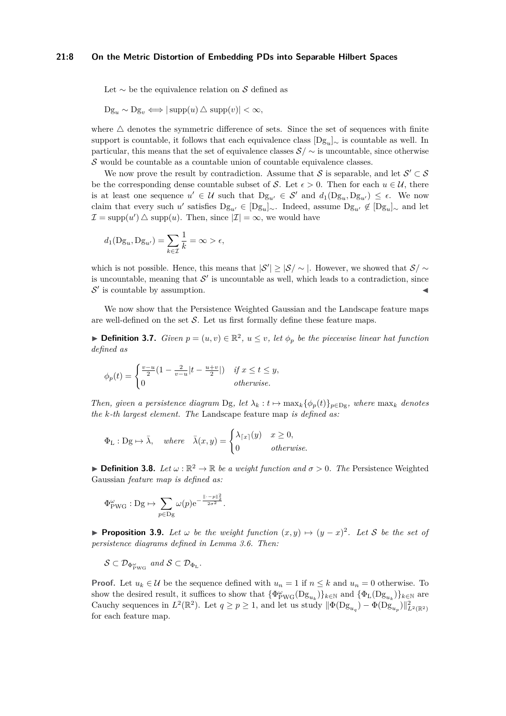#### **21:8 On the Metric Distortion of Embedding PDs into Separable Hilbert Spaces**

Let  $\sim$  be the equivalence relation on S defined as

$$
Dg_u \sim Dg_v \iff |\text{supp}(u) \triangle \text{supp}(v)| < \infty,
$$

where  $\triangle$  denotes the symmetric difference of sets. Since the set of sequences with finite support is countable, it follows that each equivalence class  $[Dg_u]_∼$  is countable as well. In particular, this means that the set of equivalence classes  $S/\sim$  is uncountable, since otherwise S would be countable as a countable union of countable equivalence classes.

We now prove the result by contradiction. Assume that S is separable, and let  $S' \subset S$ be the corresponding dense countable subset of S. Let  $\epsilon > 0$ . Then for each  $u \in \mathcal{U}$ , there is at least one sequence  $u' \in \mathcal{U}$  such that  $Dg_{u'} \in \mathcal{S}'$  and  $d_1(Dg_u, Dg_{u'}) \leq \epsilon$ . We now claim that every such *u'* satisfies  $Dg_{u'} \in [Dg_u]_{\sim}$ . Indeed, assume  $Dg_{u'} \notin [Dg_u]_{\sim}$  and let  $\mathcal{I} = \text{supp}(u') \triangle \text{supp}(u)$ . Then, since  $|\mathcal{I}| = \infty$ , we would have

$$
d_1(\mathrm{Dg}_u, \mathrm{Dg}_{u'}) = \sum_{k \in \mathcal{I}} \frac{1}{k} = \infty > \epsilon,
$$

which is not possible. Hence, this means that  $|S'| \geq |S/\sim|$ . However, we showed that  $S/\sim$ is uncountable, meaning that  $\mathcal{S}'$  is uncountable as well, which leads to a contradiction, since  $S'$  is countable by assumption.

We now show that the Persistence Weighted Gaussian and the Landscape feature maps are well-defined on the set  $S$ . Let us first formally define these feature maps.

<span id="page-7-1"></span>**Definition 3.7.** *Given*  $p = (u, v) \in \mathbb{R}^2$ ,  $u \le v$ , let  $\phi_p$  be the piecewise linear hat function *defined as*

$$
\phi_p(t) = \begin{cases} \frac{v-u}{2} (1 - \frac{2}{v-u} |t - \frac{u+v}{2}|) & \text{if } x \le t \le y, \\ 0 & \text{otherwise.} \end{cases}
$$

*Then, given a persistence diagram* Dg*, let*  $\lambda_k : t \mapsto \max_k {\phi_p(t)}_{p \in Dg}$ *, where*  $\max_k$  *denotes the k-th largest element. The* Landscape feature map *is defined as:*

$$
\Phi_{\mathcal{L}} : \mathrm{Dg} \mapsto \bar{\lambda}, \quad \text{where} \quad \bar{\lambda}(x, y) = \begin{cases} \lambda_{\lceil x \rceil}(y) & x \ge 0, \\ 0 & \text{otherwise.} \end{cases}
$$

<sup>2</sup>*σ*<sup>2</sup> *.*

**Definition 3.8.** Let  $\omega : \mathbb{R}^2 \to \mathbb{R}$  be a weight function and  $\sigma > 0$ . The Persistence Weighted Gaussian *feature map is defined as:*

$$
\Phi_{\text{PWG}}^{\omega}: \mathrm{Dg} \mapsto \sum_{p \in \mathrm{Dg}} \omega(p) e^{-\frac{\|\cdot - p\|_2^2}{2\sigma^2}}
$$

<span id="page-7-0"></span>**Proposition 3.9.** Let  $\omega$  be the weight function  $(x, y) \mapsto (y - x)^2$ . Let S be the set of *persistence diagrams defined in Lemma [3.6.](#page-6-2) Then:*

$$
\mathcal{S} \subset \mathcal{D}_{\Phi_{\mathrm{PWG}}^{\omega}} \text{ and } \mathcal{S} \subset \mathcal{D}_{\Phi_{\mathrm{L}}}.
$$

**Proof.** Let  $u_k \in \mathcal{U}$  be the sequence defined with  $u_n = 1$  if  $n \leq k$  and  $u_n = 0$  otherwise. To show the desired result, it suffices to show that  $\{\Phi_{\text{PWG}}^{\omega}(Dg_{u_k})\}_{k \in \mathbb{N}}$  and  $\{\Phi_{\text{L}}(Dg_{u_k})\}_{k \in \mathbb{N}}$  are Cauchy sequences in  $L^2(\mathbb{R}^2)$ . Let  $q \ge p \ge 1$ , and let us study  $\|\Phi(\mathrm{Dg}_{u_q}) - \Phi(\mathrm{Dg}_{u_p})\|_{L^2(\mathbb{R}^2)}^2$ for each feature map.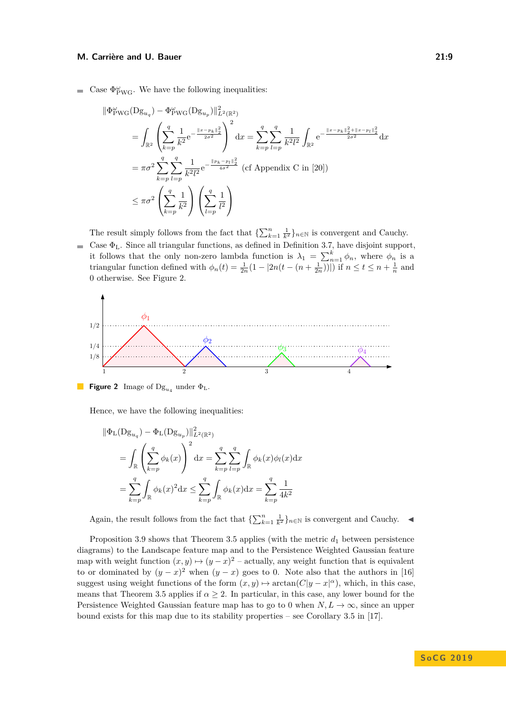Case  $\Phi_{\text{PWG}}^{\omega}$ . We have the following inequalities:

$$
\|\Phi_{\text{PWG}}^{\omega}(\text{Dg}_{u_{q}}) - \Phi_{\text{PWG}}^{\omega}(\text{Dg}_{u_{p}})\|_{L^{2}(\mathbb{R}^{2})}^{2}
$$
\n
$$
= \int_{\mathbb{R}^{2}} \left( \sum_{k=p}^{q} \frac{1}{k^{2}} e^{-\frac{\|x-p_{k}\|_{2}^{2}}{2\sigma^{2}}}\right)^{2} dx = \sum_{k=p}^{q} \sum_{l=p}^{q} \frac{1}{k^{2l^{2}}} \int_{\mathbb{R}^{2}} e^{-\frac{\|x-p_{k}\|_{2}^{2} + \|x-p_{l}\|_{2}^{2}}{2\sigma^{2}}} dx
$$
\n
$$
= \pi \sigma^{2} \sum_{k=p}^{q} \sum_{l=p}^{q} \frac{1}{k^{2l^{2}}} e^{-\frac{\|p_{k}-p_{l}\|_{2}^{2}}{4\sigma^{2}}} \text{ (cf Appendix C in [20])}
$$
\n
$$
\leq \pi \sigma^{2} \left( \sum_{k=p}^{q} \frac{1}{k^{2}} \right) \left( \sum_{l=p}^{q} \frac{1}{l^{2}} \right)
$$

The result simply follows from the fact that  $\{\sum_{k=1}^{n} \frac{1}{k^2}\}_{n \in \mathbb{N}}$  is convergent and Cauchy.

Case  $\Phi_L$ . Since all triangular functions, as defined in Definition [3.7,](#page-7-1) have disjoint support,  $\overline{\phantom{a}}$ it follows that the only non-zero lambda function is  $\lambda_1 = \sum_{n=1}^{k} \phi_n$ , where  $\phi_n$  is a triangular function defined with  $\phi_n(t) = \frac{1}{2n}(1 - |2n(t - (n + \frac{1}{2n}))|)$  if  $n \le t \le n + \frac{1}{n}$  and 0 otherwise. See Figure [2.](#page-8-0)

<span id="page-8-0"></span>

**Figure 2** Image of  $\text{Dg}_{u_4}$  under  $\Phi$ <sub>L</sub>.

Hence, we have the following inequalities:

$$
\begin{aligned} \|\Phi_{\mathcal{L}}(\mathcal{Dg}_{u_q}) - \Phi_{\mathcal{L}}(\mathcal{Dg}_{u_p})\|_{L^2(\mathbb{R}^2)}^2 \\ &= \int_{\mathbb{R}} \left(\sum_{k=p}^q \phi_k(x)\right)^2 dx = \sum_{k=p}^q \sum_{l=p}^q \int_{\mathbb{R}} \phi_k(x)\phi_l(x) dx \\ &= \sum_{k=p}^q \int_{\mathbb{R}} \phi_k(x)^2 dx \le \sum_{k=p}^q \int_{\mathbb{R}} \phi_k(x) dx = \sum_{k=p}^q \frac{1}{4k^2} \end{aligned}
$$

Again, the result follows from the fact that  $\{\sum_{k=1}^{n} \frac{1}{k^2}\}_{n \in \mathbb{N}}$  is convergent and Cauchy.

Proposition [3.9](#page-7-0) shows that Theorem [3.5](#page-6-0) applies (with the metric  $d_1$  between persistence diagrams) to the Landscape feature map and to the Persistence Weighted Gaussian feature map with weight function  $(x, y) \mapsto (y - x)^2$  – actually, any weight function that is equivalent to or dominated by  $(y-x)^2$  when  $(y-x)$  goes to 0. Note also that the authors in [\[16\]](#page-13-6) suggest using weight functions of the form  $(x, y) \mapsto \arctan(C|y - x|^{\alpha})$ , which, in this case, means that Theorem [3.5](#page-6-0) applies if  $\alpha \geq 2$ . In particular, in this case, any lower bound for the Persistence Weighted Gaussian feature map has to go to 0 when  $N, L \rightarrow \infty$ , since an upper bound exists for this map due to its stability properties – see Corollary 3.5 in [\[17\]](#page-13-11).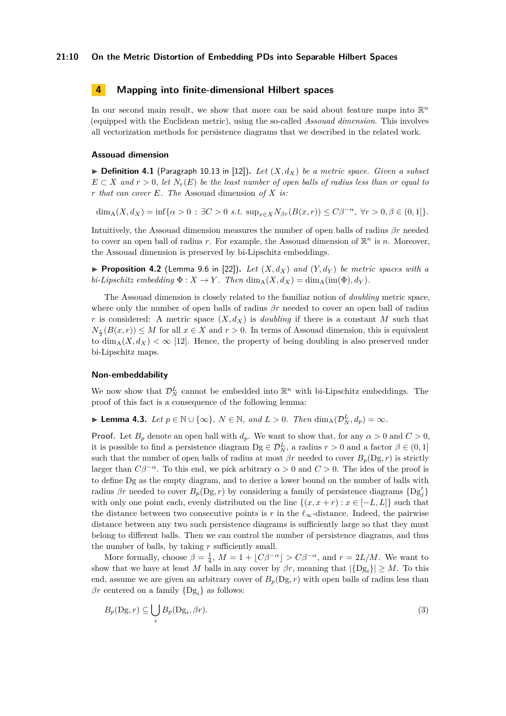## **4 Mapping into finite-dimensional Hilbert spaces**

In our second main result, we show that more can be said about feature maps into  $\mathbb{R}^n$ (equipped with the Euclidean metric), using the so-called *Assouad dimension*. This involves all vectorization methods for persistence diagrams that we described in the related work.

#### **Assouad dimension**

 $\triangleright$  **Definition 4.1** (Paragraph 10.13 in [\[12\]](#page-13-17)). Let  $(X, d_X)$  be a metric space. Given a subset  $E \subset X$  *and*  $r > 0$ , let  $N_r(E)$  be the least number of open balls of radius less than or equal to *r that can cover E. The* Assouad dimension *of X is:*

 $\dim_{A}(X, d_{X}) = \inf \{ \alpha > 0 : \exists C > 0 \text{ s.t. } \sup_{x \in X} N_{\beta r}(B(x, r)) \le C\beta^{-\alpha}, \forall r > 0, \beta \in (0, 1] \}.$ 

Intuitively, the Assouad dimension measures the number of open balls of radius *βr* needed to cover an open ball of radius r. For example, the Assouad dimension of  $\mathbb{R}^n$  is *n*. Moreover, the Assouad dimension is preserved by bi-Lipschitz embeddings.

<span id="page-9-2"></span>**Proposition 4.2** (Lemma 9.6 in [\[22\]](#page-14-4)). Let  $(X, d_X)$  and  $(Y, d_Y)$  be metric spaces with a *bi-Lipschitz embedding*  $\Phi: X \to Y$ *. Then*  $\dim_A(X, d_X) = \dim_A(\text{im}(\Phi), d_Y)$ *.* 

The Assouad dimension is closely related to the familiar notion of *doubling* metric space, where only the number of open balls of radius *βr* needed to cover an open ball of radius *r* is considered: A metric space  $(X, d_X)$  is *doubling* if there is a constant *M* such that  $N_{\frac{r}{2}}(B(x,r)) \leq M$  for all  $x \in X$  and  $r > 0$ . In terms of Assouad dimension, this is equivalent to dim<sub>A</sub> $(X, d_X) < \infty$  [\[12\]](#page-13-17). Hence, the property of being doubling is also preserved under bi-Lipschitz maps.

#### **Non-embeddability**

We now show that  $\mathcal{D}_{N}^{L}$  cannot be embedded into  $\mathbb{R}^{n}$  with bi-Lipschitz embeddings. The proof of this fact is a consequence of the following lemma:

<span id="page-9-0"></span>► **Lemma 4.3.** *Let*  $p \in \mathbb{N} \cup \{\infty\}$ *,*  $N \in \mathbb{N}$ *, and*  $L > 0$ *. Then*  $\dim_{A}(\mathcal{D}_{N}^{L}, d_{p}) = \infty$ *.* 

**Proof.** Let  $B_p$  denote an open ball with  $d_p$ . We want to show that, for any  $\alpha > 0$  and  $C > 0$ , it is possible to find a persistence diagram  $Dg \in \mathcal{D}_N^L$ , a radius  $r > 0$  and a factor  $\beta \in (0, 1]$ such that the number of open balls of radius at most  $\beta r$  needed to cover  $B_p(Dg, r)$  is strictly larger than  $C\beta^{-\alpha}$ . To this end, we pick arbitrary  $\alpha > 0$  and  $C > 0$ . The idea of the proof is to define Dg as the empty diagram, and to derive a lower bound on the number of balls with radius  $\beta r$  needed to cover  $B_p(Dg, r)$  by considering a family of persistence diagrams  $\{Dg'_j\}$ with only one point each, evenly distributed on the line  $\{(x, x + r) : x \in [-L, L]\}$  such that the distance between two consecutive points is *r* in the  $\ell_{\infty}$ -distance. Indeed, the pairwise distance between any two such persistence diagrams is sufficiently large so that they must belong to different balls. Then we can control the number of persistence diagrams, and thus the number of balls, by taking *r* sufficiently small.

More formally, choose  $\beta = \frac{1}{4}$ ,  $M = 1 + \lfloor C\beta^{-\alpha} \rfloor > C\beta^{-\alpha}$ , and  $r = 2L/M$ . We want to show that we have at least *M* balls in any cover by  $\beta r$ , meaning that  $|\{Dg_i\}| \geq M$ . To this end, assume we are given an arbitrary cover of  $B_p(Dg, r)$  with open balls of radius less than  $\beta r$  centered on a family  $\{Dg_i\}$  as follows:

<span id="page-9-1"></span>
$$
B_p(\text{Dg}, r) \subseteq \bigcup_i B_p(\text{Dg}_i, \beta r). \tag{3}
$$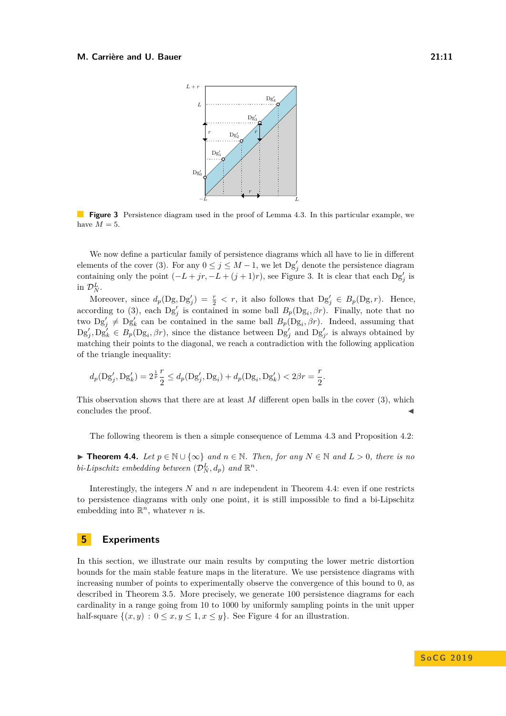<span id="page-10-1"></span>

**Figure 3** Persistence diagram used in the proof of Lemma [4.3.](#page-9-0) In this particular example, we have  $M=5$ .

We now define a particular family of persistence diagrams which all have to lie in different elements of the cover [\(3\)](#page-9-1). For any  $0 \leq j \leq M-1$ , we let  $Dg'_{j}$  denote the persistence diagram containing only the point  $(-L + jr, -L + (j + 1)r)$ , see Figure [3.](#page-10-1) It is clear that each  $Dg'_{j}$  is in  $\mathcal{D}_N^L$ .

Moreover, since  $d_p(Dg, Dg'_j) = \frac{r}{2} < r$ , it also follows that  $Dg'_j \in B_p(Dg, r)$ . Hence, according to [\(3\)](#page-9-1), each  $Dg'_{j}$  is contained in some ball  $B_p(Dg_i, \beta r)$ . Finally, note that no two  $\text{Dg}'_j \neq \text{Dg}'_k$  can be contained in the same ball  $B_p(\text{Dg}_i, \beta r)$ . Indeed, assuming that  $\text{Dg}'_j, \text{Dg}'_k \in B_p(\text{Dg}_i, \beta r)$ , since the distance between  $\text{Dg}'_j$  and  $\text{Dg}'_{j'}$  is always obtained by matching their points to the diagonal, we reach a contradiction with the following application of the triangle inequality:

$$
d_p(\text{Dg}'_j, \text{Dg}'_k) = 2^{\frac{1}{p}} \frac{r}{2} \le d_p(\text{Dg}'_j, \text{Dg}_i) + d_p(\text{Dg}_i, \text{Dg}'_k) < 2\beta r = \frac{r}{2}.
$$

This observation shows that there are at least *M* different open balls in the cover [\(3\)](#page-9-1), which concludes the proof.

The following theorem is then a simple consequence of Lemma [4.3](#page-9-0) and Proposition [4.2:](#page-9-2)

<span id="page-10-0"></span>**► Theorem 4.4.** Let  $p \in \mathbb{N} \cup \{\infty\}$  and  $n \in \mathbb{N}$ . Then, for any  $N \in \mathbb{N}$  and  $L > 0$ , there is no *bi-Lipschitz embedding between*  $(\mathcal{D}_N^L, d_p)$  *and*  $\mathbb{R}^n$ *.* 

Interestingly, the integers *N* and *n* are independent in Theorem [4.4:](#page-10-0) even if one restricts to persistence diagrams with only one point, it is still impossible to find a bi-Lipschitz embedding into  $\mathbb{R}^n$ , whatever *n* is.

## **5 Experiments**

In this section, we illustrate our main results by computing the lower metric distortion bounds for the main stable feature maps in the literature. We use persistence diagrams with increasing number of points to experimentally observe the convergence of this bound to 0, as described in Theorem [3.5.](#page-6-0) More precisely, we generate 100 persistence diagrams for each cardinality in a range going from 10 to 1000 by uniformly sampling points in the unit upper half-square  $\{(x, y) : 0 \le x, y \le 1, x \le y\}$ . See Figure [4](#page-11-0) for an illustration.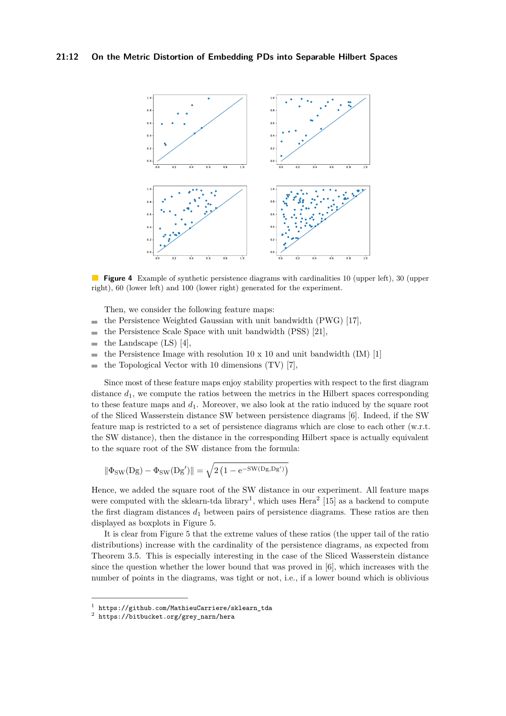#### **21:12 On the Metric Distortion of Embedding PDs into Separable Hilbert Spaces**

<span id="page-11-0"></span>

**Figure 4** Example of synthetic persistence diagrams with cardinalities 10 (upper left), 30 (upper right), 60 (lower left) and 100 (lower right) generated for the experiment.

Then, we consider the following feature maps:

- the Persistence Weighted Gaussian with unit bandwidth (PWG) [\[17\]](#page-13-11),  $\equiv$
- the Persistence Scale Space with unit bandwidth (PSS) [\[21\]](#page-14-1),  $\overline{a}$
- the Landscape (LS) [\[4\]](#page-13-4),
- the Persistence Image with resolution 10 x 10 and unit bandwidth (IM) [\[1\]](#page-13-7) ۰
- the Topological Vector with 10 dimensions (TV) [\[7\]](#page-13-5),  $\overline{\phantom{a}}$

Since most of these feature maps enjoy stability properties with respect to the first diagram distance  $d_1$ , we compute the ratios between the metrics in the Hilbert spaces corresponding to these feature maps and  $d_1$ . Moreover, we also look at the ratio induced by the square root of the Sliced Wasserstein distance SW between persistence diagrams [\[6\]](#page-13-8). Indeed, if the SW feature map is restricted to a set of persistence diagrams which are close to each other (w.r.t. the SW distance), then the distance in the corresponding Hilbert space is actually equivalent to the square root of the SW distance from the formula:

$$
\|\Phi_{\rm SW}(Dg)-\Phi_{\rm SW}(Dg')\|=\sqrt{2\left(1-e^{-SW(Dg,Dg')}\right)}
$$

Hence, we added the square root of the SW distance in our experiment. All feature maps were computed with the sklearn-tda library<sup>[1](#page-11-1)</sup>, which uses  $Hera^2$  $Hera^2$  [\[15\]](#page-13-18) as a backend to compute the first diagram distances  $d_1$  between pairs of persistence diagrams. These ratios are then displayed as boxplots in Figure [5.](#page-12-0)

It is clear from Figure [5](#page-12-0) that the extreme values of these ratios (the upper tail of the ratio distributions) increase with the cardinality of the persistence diagrams, as expected from Theorem [3.5.](#page-6-0) This is especially interesting in the case of the Sliced Wasserstein distance since the question whether the lower bound that was proved in [\[6\]](#page-13-8), which increases with the number of points in the diagrams, was tight or not, i.e., if a lower bound which is oblivious

<span id="page-11-1"></span><sup>1</sup> [https://github.com/MathieuCarriere/sklearn\\_tda](https://github.com/MathieuCarriere/sklearn_tda)

<span id="page-11-2"></span> $^2$  [https://bitbucket.org/grey\\_narn/hera](https://bitbucket.org/grey_narn/hera)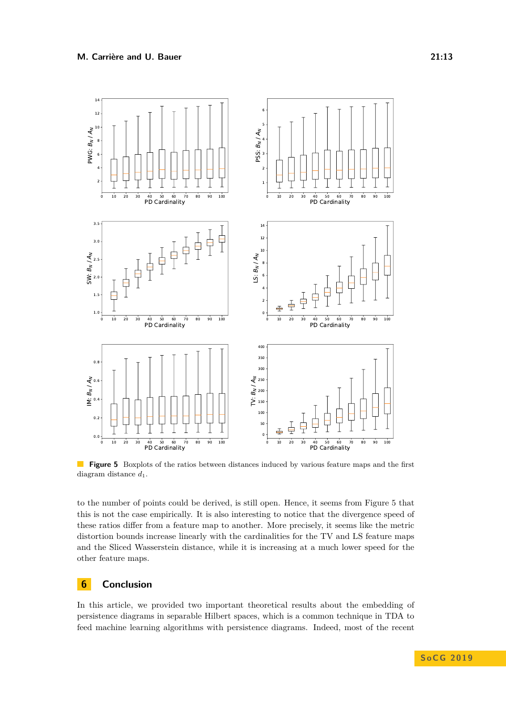<span id="page-12-0"></span>

0 10 20 30 40 50 60 70 80 90 100 PD Cardinality 0 10 20 30 40 50 60 70 80 90 100 PD Cardinality

**Figure 5** Boxplots of the ratios between distances induced by various feature maps and the first diagram distance *d*1.

to the number of points could be derived, is still open. Hence, it seems from Figure [5](#page-12-0) that this is not the case empirically. It is also interesting to notice that the divergence speed of these ratios differ from a feature map to another. More precisely, it seems like the metric distortion bounds increase linearly with the cardinalities for the TV and LS feature maps and the Sliced Wasserstein distance, while it is increasing at a much lower speed for the other feature maps.

## **6 Conclusion**

In this article, we provided two important theoretical results about the embedding of persistence diagrams in separable Hilbert spaces, which is a common technique in TDA to feed machine learning algorithms with persistence diagrams. Indeed, most of the recent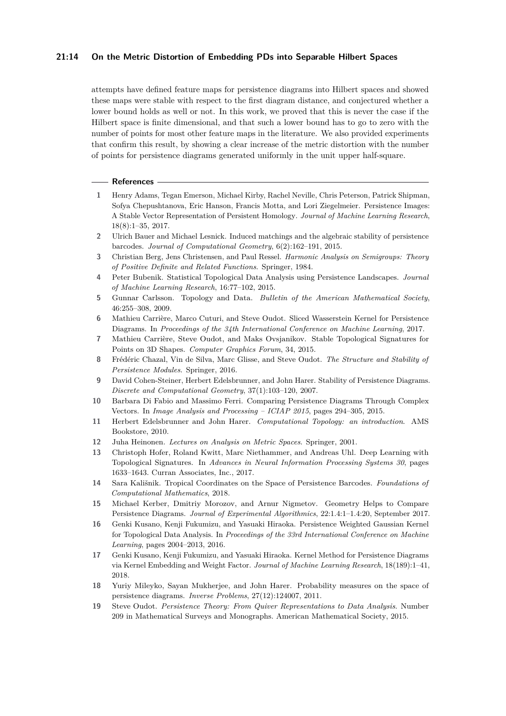#### **21:14 On the Metric Distortion of Embedding PDs into Separable Hilbert Spaces**

attempts have defined feature maps for persistence diagrams into Hilbert spaces and showed these maps were stable with respect to the first diagram distance, and conjectured whether a lower bound holds as well or not. In this work, we proved that this is never the case if the Hilbert space is finite dimensional, and that such a lower bound has to go to zero with the number of points for most other feature maps in the literature. We also provided experiments that confirm this result, by showing a clear increase of the metric distortion with the number of points for persistence diagrams generated uniformly in the unit upper half-square.

#### **References**

- <span id="page-13-7"></span>**1** Henry Adams, Tegan Emerson, Michael Kirby, Rachel Neville, Chris Peterson, Patrick Shipman, Sofya Chepushtanova, Eric Hanson, Francis Motta, and Lori Ziegelmeier. Persistence Images: A Stable Vector Representation of Persistent Homology. *Journal of Machine Learning Research*, 18(8):1–35, 2017.
- <span id="page-13-1"></span>**2** Ulrich Bauer and Michael Lesnick. Induced matchings and the algebraic stability of persistence barcodes. *Journal of Computational Geometry*, 6(2):162–191, 2015.
- <span id="page-13-10"></span>**3** Christian Berg, Jens Christensen, and Paul Ressel. *Harmonic Analysis on Semigroups: Theory of Positive Definite and Related Functions*. Springer, 1984.
- <span id="page-13-4"></span>**4** Peter Bubenik. Statistical Topological Data Analysis using Persistence Landscapes. *Journal of Machine Learning Research*, 16:77–102, 2015.
- <span id="page-13-0"></span>**5** Gunnar Carlsson. Topology and Data. *Bulletin of the American Mathematical Society*, 46:255–308, 2009.
- <span id="page-13-8"></span>**6** Mathieu Carrière, Marco Cuturi, and Steve Oudot. Sliced Wasserstein Kernel for Persistence Diagrams. In *Proceedings of the 34th International Conference on Machine Learning*, 2017.
- <span id="page-13-5"></span>**7** Mathieu Carrière, Steve Oudot, and Maks Ovsjanikov. Stable Topological Signatures for Points on 3D Shapes. *Computer Graphics Forum*, 34, 2015.
- <span id="page-13-2"></span>**8** Frédéric Chazal, Vin de Silva, Marc Glisse, and Steve Oudot. *The Structure and Stability of Persistence Modules*. Springer, 2016.
- <span id="page-13-3"></span>**9** David Cohen-Steiner, Herbert Edelsbrunner, and John Harer. Stability of Persistence Diagrams. *Discrete and Computational Geometry*, 37(1):103–120, 2007.
- <span id="page-13-13"></span>**10** Barbara Di Fabio and Massimo Ferri. Comparing Persistence Diagrams Through Complex Vectors. In *Image Analysis and Processing – ICIAP 2015*, pages 294–305, 2015.
- <span id="page-13-14"></span>**11** Herbert Edelsbrunner and John Harer. *Computational Topology: an introduction*. AMS Bookstore, 2010.
- <span id="page-13-17"></span>**12** Juha Heinonen. *Lectures on Analysis on Metric Spaces*. Springer, 2001.
- <span id="page-13-9"></span>**13** Christoph Hofer, Roland Kwitt, Marc Niethammer, and Andreas Uhl. Deep Learning with Topological Signatures. In *Advances in Neural Information Processing Systems 30*, pages 1633–1643. Curran Associates, Inc., 2017.
- <span id="page-13-12"></span>**14** Sara Kališnik. Tropical Coordinates on the Space of Persistence Barcodes. *Foundations of Computational Mathematics*, 2018.
- <span id="page-13-18"></span>**15** Michael Kerber, Dmitriy Morozov, and Arnur Nigmetov. Geometry Helps to Compare Persistence Diagrams. *Journal of Experimental Algorithmics*, 22:1.4:1–1.4:20, September 2017.
- <span id="page-13-6"></span>**16** Genki Kusano, Kenji Fukumizu, and Yasuaki Hiraoka. Persistence Weighted Gaussian Kernel for Topological Data Analysis. In *Proceedings of the 33rd International Conference on Machine Learning*, pages 2004–2013, 2016.
- <span id="page-13-11"></span>**17** Genki Kusano, Kenji Fukumizu, and Yasuaki Hiraoka. Kernel Method for Persistence Diagrams via Kernel Embedding and Weight Factor. *Journal of Machine Learning Research*, 18(189):1–41, 2018.
- <span id="page-13-16"></span>**18** Yuriy Mileyko, Sayan Mukherjee, and John Harer. Probability measures on the space of persistence diagrams. *Inverse Problems*, 27(12):124007, 2011.
- <span id="page-13-15"></span>**19** Steve Oudot. *Persistence Theory: From Quiver Representations to Data Analysis*. Number 209 in Mathematical Surveys and Monographs. American Mathematical Society, 2015.